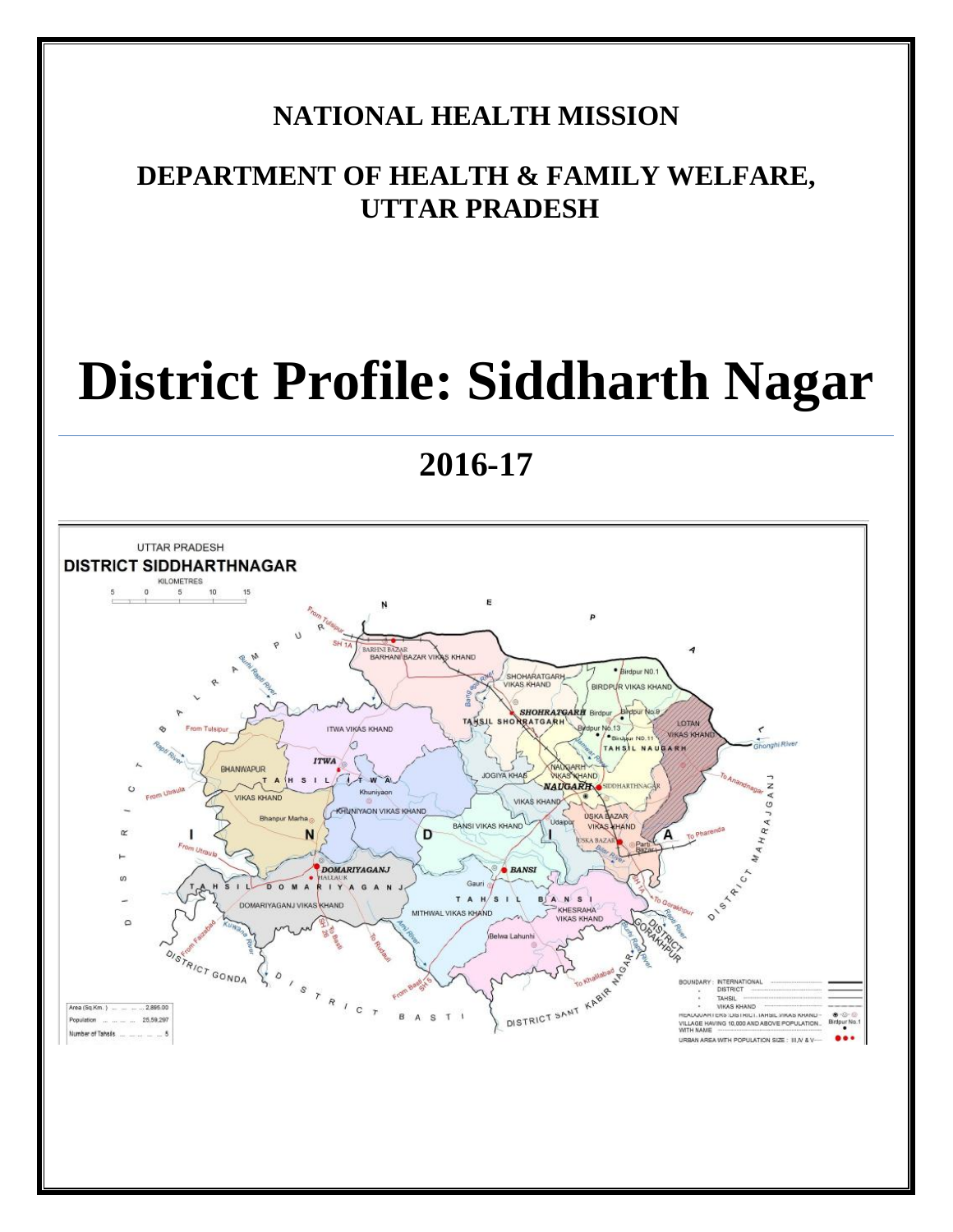## **NATIONAL HEALTH MISSION**

# **DEPARTMENT OF HEALTH & FAMILY WELFARE, UTTAR PRADESH**

# **District Profile: Siddharth Nagar**

**2016-17**

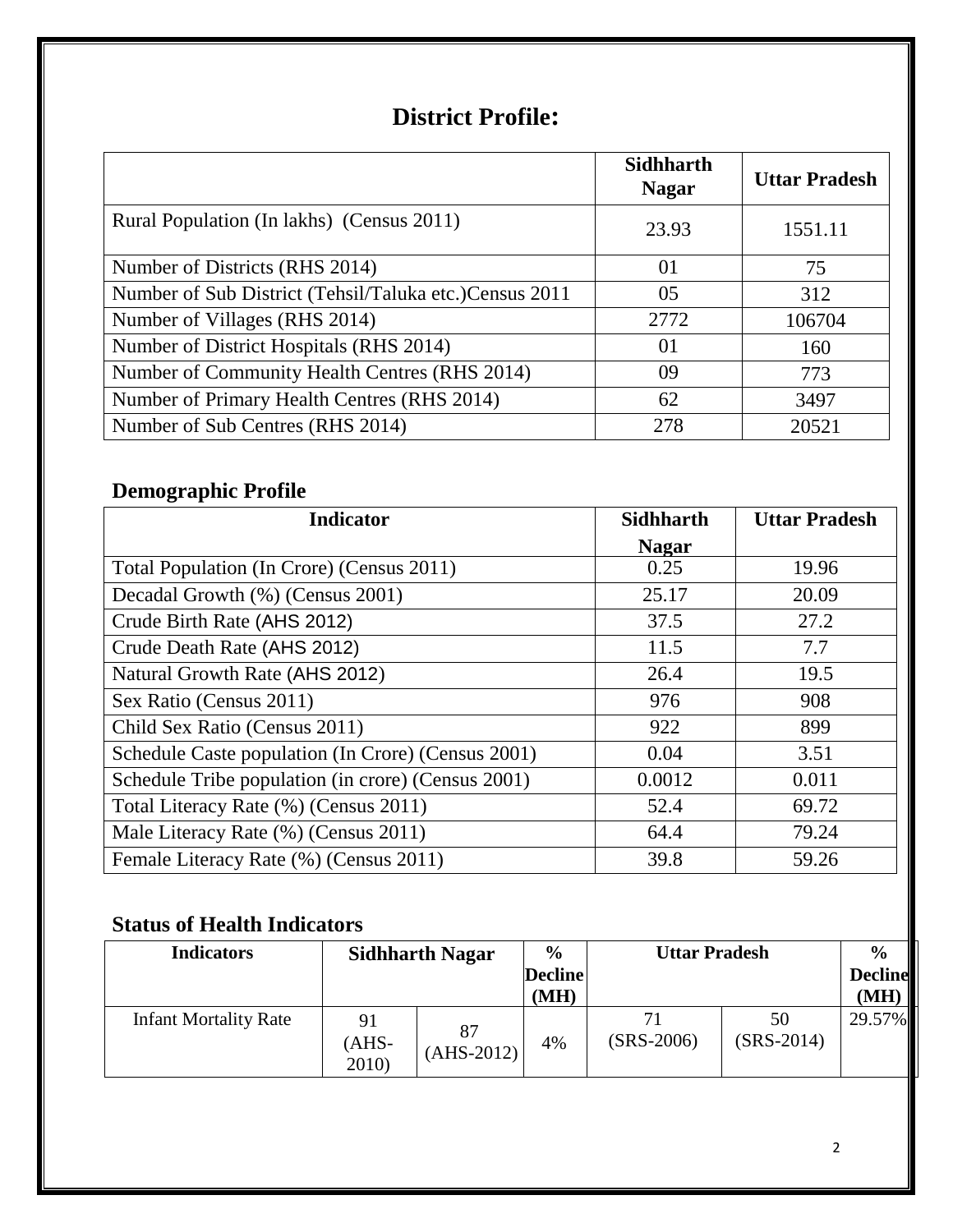# **District Profile:**

|                                                         | <b>Sidhharth</b><br><b>Nagar</b> | <b>Uttar Pradesh</b> |
|---------------------------------------------------------|----------------------------------|----------------------|
| Rural Population (In lakhs) (Census 2011)               | 23.93                            | 1551.11              |
| Number of Districts (RHS 2014)                          | 01                               | 75                   |
| Number of Sub District (Tehsil/Taluka etc.) Census 2011 | 05                               | 312                  |
| Number of Villages (RHS 2014)                           | 2772                             | 106704               |
| Number of District Hospitals (RHS 2014)                 | 01                               | 160                  |
| Number of Community Health Centres (RHS 2014)           | 09                               | 773                  |
| Number of Primary Health Centres (RHS 2014)             | 62                               | 3497                 |
| Number of Sub Centres (RHS 2014)                        | 278                              | 20521                |

## **Demographic Profile**

| <b>Indicator</b>                                   | <b>Sidhharth</b> | <b>Uttar Pradesh</b> |
|----------------------------------------------------|------------------|----------------------|
|                                                    | <b>Nagar</b>     |                      |
| Total Population (In Crore) (Census 2011)          | 0.25             | 19.96                |
| Decadal Growth (%) (Census 2001)                   | 25.17            | 20.09                |
| Crude Birth Rate (AHS 2012)                        | 37.5             | 27.2                 |
| Crude Death Rate (AHS 2012)                        | 11.5             | 7.7                  |
| Natural Growth Rate (AHS 2012)                     | 26.4             | 19.5                 |
| Sex Ratio (Census 2011)                            | 976              | 908                  |
| Child Sex Ratio (Census 2011)                      | 922              | 899                  |
| Schedule Caste population (In Crore) (Census 2001) | 0.04             | 3.51                 |
| Schedule Tribe population (in crore) (Census 2001) | 0.0012           | 0.011                |
| Total Literacy Rate (%) (Census 2011)              | 52.4             | 69.72                |
| Male Literacy Rate (%) (Census 2011)               | 64.4             | 79.24                |
| Female Literacy Rate (%) (Census 2011)             | 39.8             | 59.26                |

## **Status of Health Indicators**

| <b>Indicators</b>            | $\frac{0}{0}$<br><b>Uttar Pradesh</b><br><b>Sidhharth Nagar</b><br><b>Decline</b><br>(MH) |              |    | $\frac{6}{9}$<br><b>Decline</b><br>(MH) |                    |        |
|------------------------------|-------------------------------------------------------------------------------------------|--------------|----|-----------------------------------------|--------------------|--------|
| <b>Infant Mortality Rate</b> | 91<br>$(AHS-$<br>2010)                                                                    | $(AHS-2012)$ | 4% | $(SRS-2006)$                            | 50<br>$(SRS-2014)$ | 29.57% |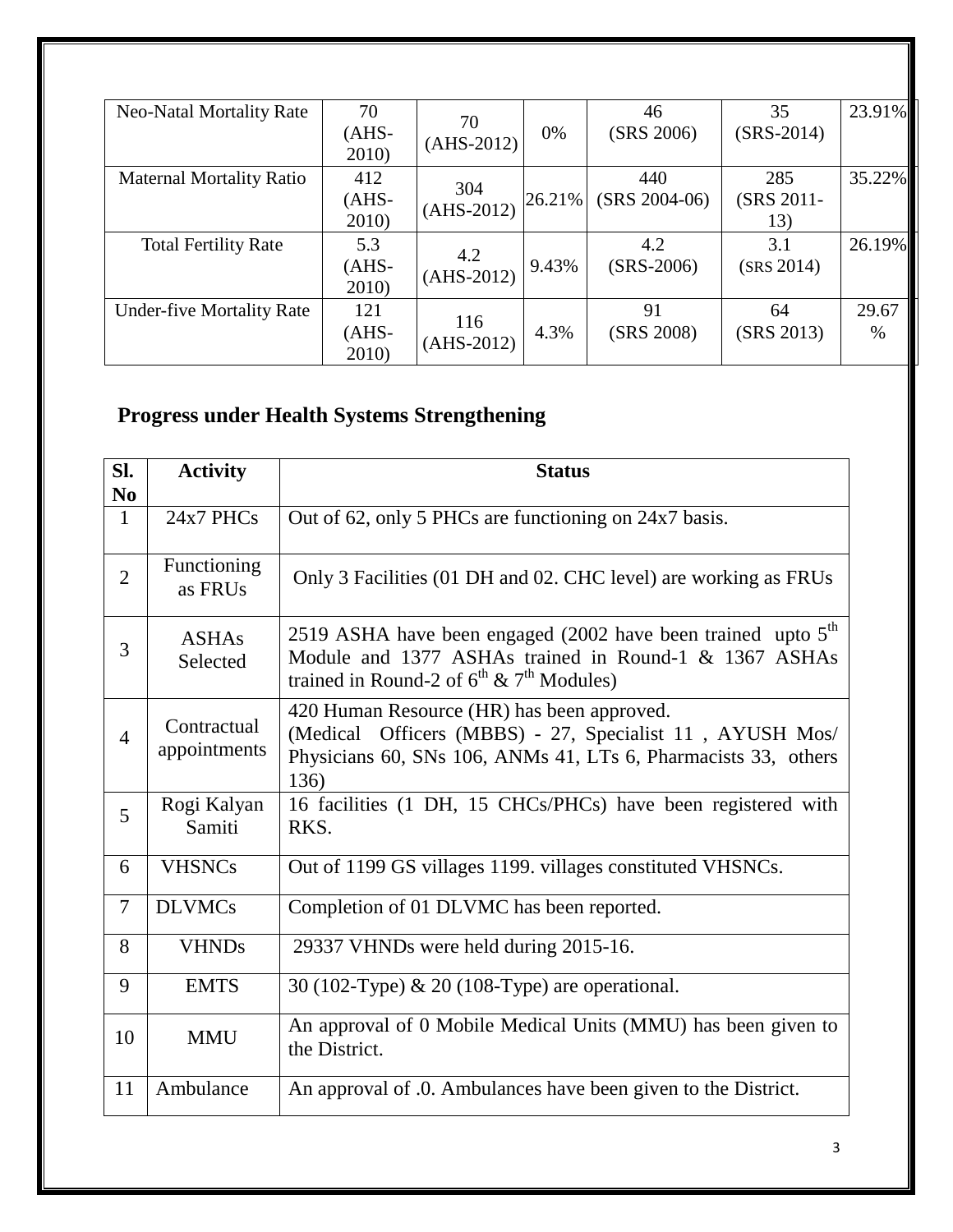| <b>Neo-Natal Mortality Rate</b>  | 70<br>$(AHS -$<br>2010)  | 70<br>$(AHS-2012)$  | 0%     | 46<br>(SRS 2006)       | 35<br>$(SRS-2014)$       | 23.91%        |
|----------------------------------|--------------------------|---------------------|--------|------------------------|--------------------------|---------------|
| <b>Maternal Mortality Ratio</b>  | 412<br>$(AHS -$<br>2010) | 304<br>$(AHS-2012)$ | 26.21% | 440<br>$(SRS 2004-06)$ | 285<br>(SRS 2011-<br>13) | 35.22%        |
| <b>Total Fertility Rate</b>      | 5.3<br>$(AHS-$<br>2010)  | 4.2<br>$(AHS-2012)$ | 9.43%  | 4.2<br>$(SRS-2006)$    | 3.1<br>(SRS 2014)        | 26.19%        |
| <b>Under-five Mortality Rate</b> | 121<br>$(AHS-$<br>2010)  | 116<br>$(AHS-2012)$ | 4.3%   | 91<br>(SRS 2008)       | 64<br>(SRS 2013)         | 29.67<br>$\%$ |

# **Progress under Health Systems Strengthening**

| SI.            | <b>Activity</b>             | <b>Status</b>                                                                                                                                                                    |  |  |  |  |
|----------------|-----------------------------|----------------------------------------------------------------------------------------------------------------------------------------------------------------------------------|--|--|--|--|
| N <sub>0</sub> |                             |                                                                                                                                                                                  |  |  |  |  |
| $\mathbf{1}$   | 24x7 PHCs                   | Out of 62, only 5 PHCs are functioning on 24x7 basis.                                                                                                                            |  |  |  |  |
| $\overline{2}$ | Functioning<br>as FRUs      | Only 3 Facilities (01 DH and 02. CHC level) are working as FRUs                                                                                                                  |  |  |  |  |
| 3              | <b>ASHAs</b><br>Selected    | 2519 ASHA have been engaged (2002 have been trained upto $5th$<br>Module and 1377 ASHAs trained in Round-1 & 1367 ASHAs<br>trained in Round-2 of $6^{th}$ & $7^{th}$ Modules)    |  |  |  |  |
| $\overline{4}$ | Contractual<br>appointments | 420 Human Resource (HR) has been approved.<br>(Medical Officers (MBBS) - 27, Specialist 11, AYUSH Mos/<br>Physicians 60, SNs 106, ANMs 41, LTs 6, Pharmacists 33, others<br>136) |  |  |  |  |
| 5              | Rogi Kalyan<br>Samiti       | 16 facilities (1 DH, 15 CHCs/PHCs) have been registered with<br>RKS.                                                                                                             |  |  |  |  |
| 6              | <b>VHSNCs</b>               | Out of 1199 GS villages 1199. villages constituted VHSNCs.                                                                                                                       |  |  |  |  |
| $\overline{7}$ | <b>DLVMCs</b>               | Completion of 01 DLVMC has been reported.                                                                                                                                        |  |  |  |  |
| 8              | <b>VHNDs</b>                | 29337 VHNDs were held during 2015-16.                                                                                                                                            |  |  |  |  |
| 9              | <b>EMTS</b>                 | 30 (102-Type) & 20 (108-Type) are operational.                                                                                                                                   |  |  |  |  |
| 10             | <b>MMU</b>                  | An approval of 0 Mobile Medical Units (MMU) has been given to<br>the District.                                                                                                   |  |  |  |  |
| 11             | Ambulance                   | An approval of .0. Ambulances have been given to the District.                                                                                                                   |  |  |  |  |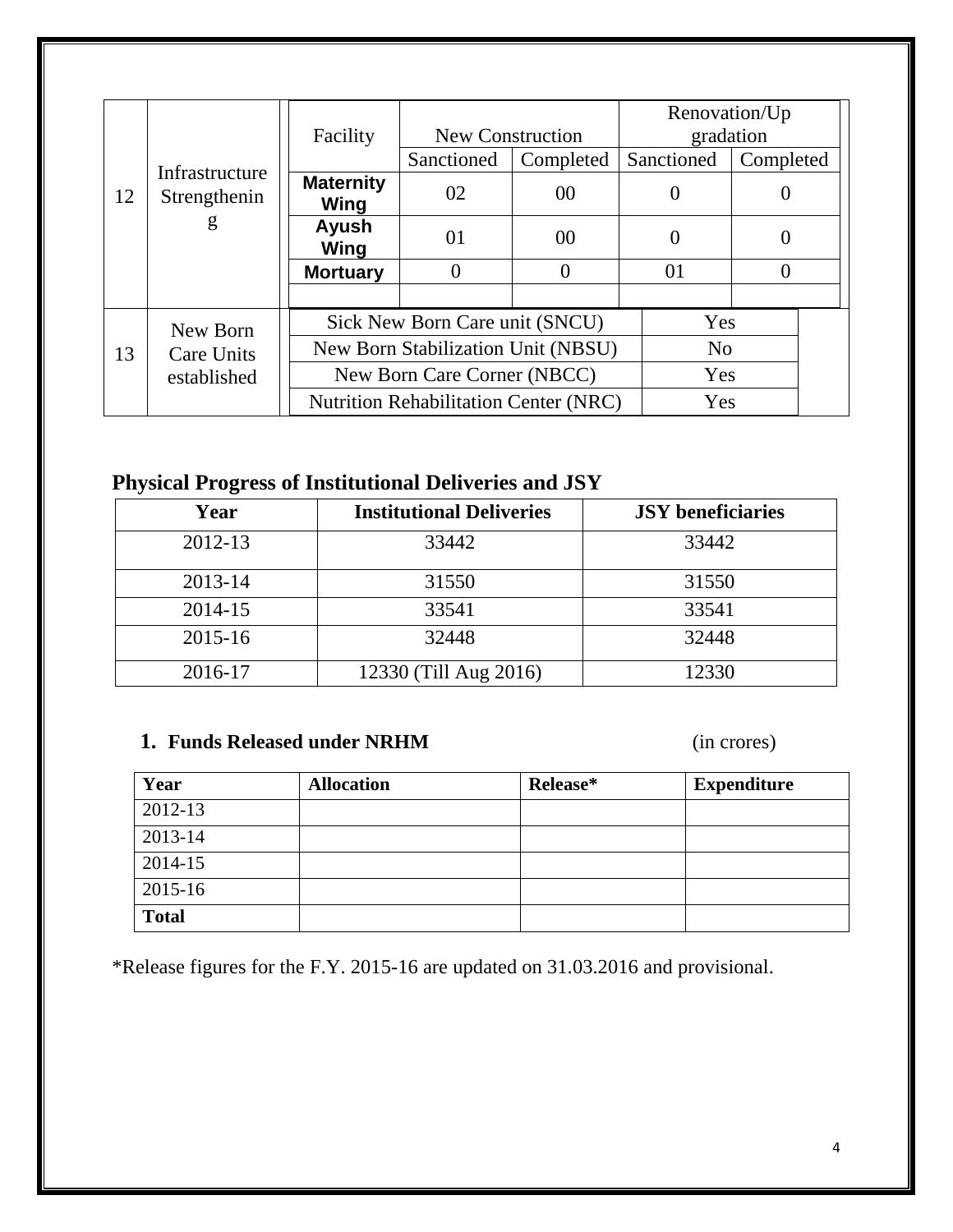|    |                                |                             |                                              |                | Renovation/Up |                |  |
|----|--------------------------------|-----------------------------|----------------------------------------------|----------------|---------------|----------------|--|
|    |                                | Facility                    | <b>New Construction</b>                      |                |               | gradation      |  |
|    |                                |                             | Sanctioned                                   | Completed      | Sanctioned    | Completed      |  |
| 12 | Infrastructure<br>Strengthenin | <b>Maternity</b><br>Wing    | 02                                           | 00             |               |                |  |
|    | g                              | Ayush<br>Wing               | 01                                           | 0 <sup>0</sup> |               |                |  |
|    |                                | <b>Mortuary</b>             |                                              | C              | 01            |                |  |
|    |                                |                             |                                              |                |               |                |  |
|    | New Born                       |                             | Sick New Born Care unit (SNCU)               |                |               | Yes            |  |
| 13 | <b>Care Units</b>              |                             | New Born Stabilization Unit (NBSU)           |                |               | N <sub>0</sub> |  |
|    | established                    | New Born Care Corner (NBCC) |                                              |                | Yes           |                |  |
|    |                                |                             | <b>Nutrition Rehabilitation Center (NRC)</b> |                |               | Yes            |  |

## **Physical Progress of Institutional Deliveries and JSY**

| Year    | <b>Institutional Deliveries</b> | <b>JSY</b> beneficiaries |
|---------|---------------------------------|--------------------------|
| 2012-13 | 33442                           | 33442                    |
| 2013-14 | 31550                           | 31550                    |
| 2014-15 | 33541                           | 33541                    |
| 2015-16 | 32448                           | 32448                    |
| 2016-17 | 12330 (Till Aug 2016)           | 12330                    |

### **1. Funds Released under NRHM** (in crores)

| Year         | <b>Allocation</b> | Release* | <b>Expenditure</b> |
|--------------|-------------------|----------|--------------------|
| 2012-13      |                   |          |                    |
| 2013-14      |                   |          |                    |
| 2014-15      |                   |          |                    |
| 2015-16      |                   |          |                    |
| <b>Total</b> |                   |          |                    |

\*Release figures for the F.Y. 2015-16 are updated on 31.03.2016 and provisional.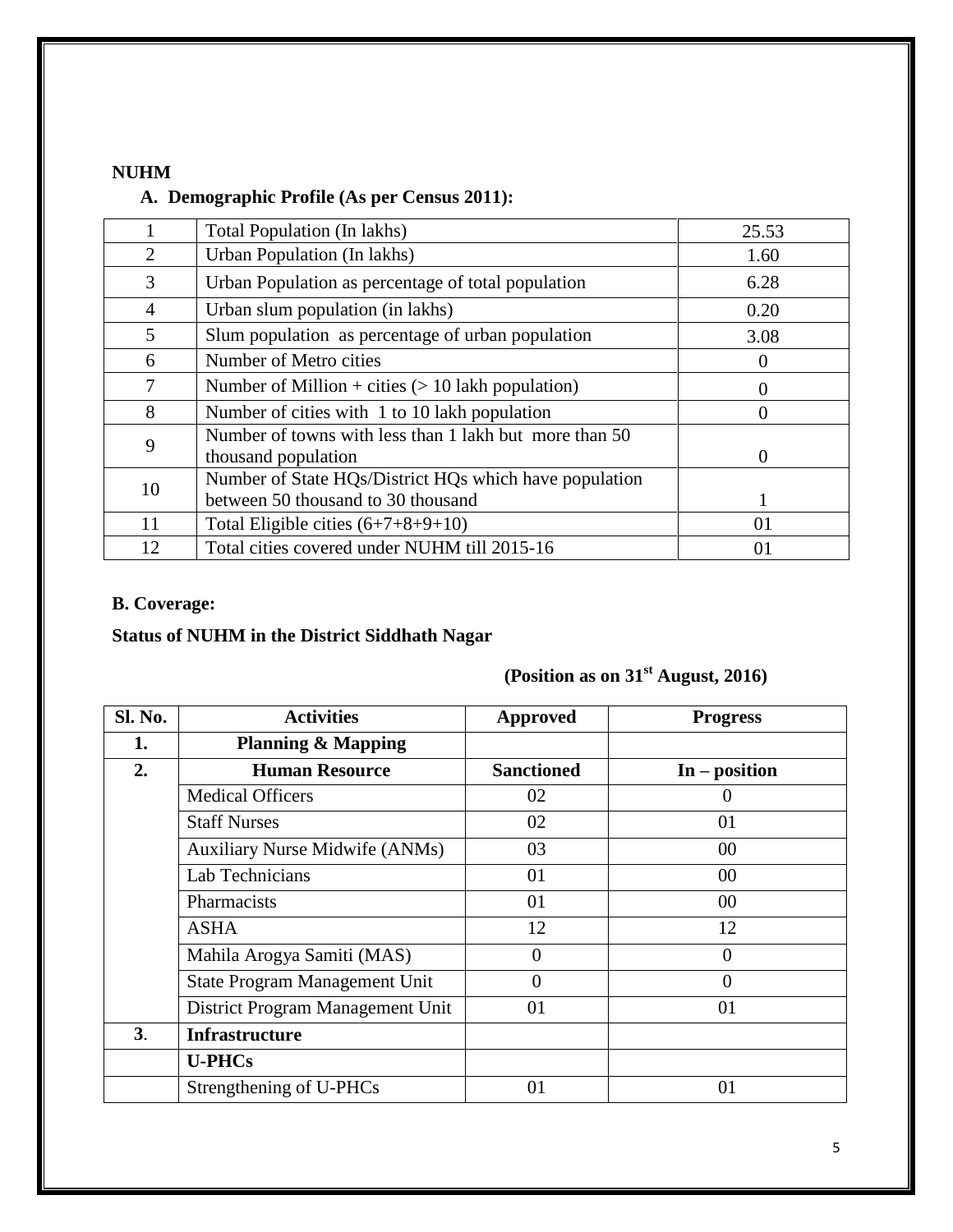#### **NUHM**

#### **A. Demographic Profile (As per Census 2011):**

|                | Total Population (In lakhs)                                                                  | 25.53    |
|----------------|----------------------------------------------------------------------------------------------|----------|
| 2              | Urban Population (In lakhs)                                                                  | 1.60     |
| 3              | Urban Population as percentage of total population                                           | 6.28     |
| $\overline{4}$ | Urban slum population (in lakhs)                                                             | 0.20     |
| 5              | Slum population as percentage of urban population                                            | 3.08     |
| 6              | Number of Metro cities                                                                       |          |
| 7              | Number of Million + cities $(> 10$ lakh population)                                          |          |
| 8              | Number of cities with 1 to 10 lakh population                                                | 0        |
| 9              | Number of towns with less than 1 lakh but more than 50<br>thousand population                | $\Omega$ |
| 10             | Number of State HQs/District HQs which have population<br>between 50 thousand to 30 thousand |          |
| 11             | Total Eligible cities $(6+7+8+9+10)$                                                         | 01       |
| 12             | Total cities covered under NUHM till 2015-16                                                 | 01       |

## **B. Coverage:**

## **Status of NUHM in the District Siddhath Nagar**

## **(Position as on 31st August, 2016)**

| Sl. No.        | <b>Activities</b>                     | <b>Approved</b>   | <b>Progress</b> |
|----------------|---------------------------------------|-------------------|-----------------|
| 1.             | <b>Planning &amp; Mapping</b>         |                   |                 |
| 2.             | <b>Human Resource</b>                 | <b>Sanctioned</b> | $In - position$ |
|                | <b>Medical Officers</b>               | 02                | 0               |
|                | <b>Staff Nurses</b>                   | 02                | 01              |
|                | <b>Auxiliary Nurse Midwife (ANMs)</b> | 03                | 00              |
|                | Lab Technicians                       | 01                | 00              |
|                | Pharmacists                           | 01                | $00\,$          |
|                | <b>ASHA</b>                           | 12                | 12              |
|                | Mahila Arogya Samiti (MAS)            | 0                 | 0               |
|                | State Program Management Unit         | $\theta$          | $\theta$        |
|                | District Program Management Unit      | 01                | 01              |
| 3 <sub>1</sub> | <b>Infrastructure</b>                 |                   |                 |
|                | <b>U-PHCs</b>                         |                   |                 |
|                | Strengthening of U-PHCs               | 01                | 01              |